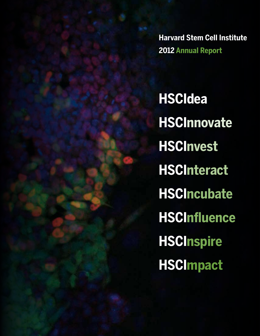**Harvard Stem Cell Institute 2012 Annual Report** 

**HSCIdea HSCInnovate HSCInvest HSCInteract HSCIncubate HSCInfluence HSCInspire HSCImpact**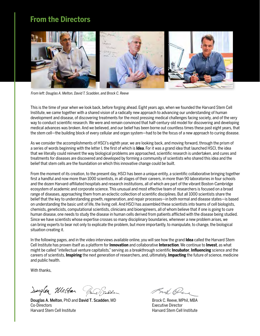## **From the Directors**



*From left: Douglas A. Melton, David T. Scadden, and Brock C. Reeve*

This is the time of year when we look back, before forging ahead. Eight years ago, when we founded the Harvard Stem Cell Institute, we came together with a shared vision of a radically new approach to advancing our understanding of human development and disease, of discovering treatments for the most pressing medical challenges facing society, and of the very way to conduct scientific research. We were and remain convinced that half-century-old model for discovering and developing medical advances was broken. And we believed, and our belief has been borne out countless times these past eight years, that the stem cell—the building block of every cellular and organ system—had to be the focus of a new approach to curing disease.

As we consider the accomplishments of HSCI's eighth year, we are looking back, and moving forward, through the prism of a series of words beginning with the letter I, the first of which is **Idea**. For it was a grand idea that launched HSCI, the idea that we literally could reinvent the way biological problems are approached, scientific research is undertaken, and cures and treatments for diseases are discovered and developed by forming a community of scientists who shared this idea and the belief that stem cells are the foundation on which this innovative change could be built.

From the moment of its creation, to the present day, HSCI has been a unique entity, a scientific collaborative bringing together first a handful and now more than 1000 scientists, in all stages of their careers, in more than 90 laboratories in four schools and the dozen Harvard-affiliated hospitals and research institutions, all of which are part of the vibrant Boston-Cambridge ecosystem of academic and corporate science. This unusual and most effective team of researchers is focused on a broad range of diseases, approaching them from an eclectic collection of scientific disciplines. But all 1000 scientists share the belief that the key to understanding growth, regeneration, and repair processes—in both normal and disease states—is based on understanding the basic unit of life, the living cell. And HSCI has assembled these scientists into teams of cell biologists, chemists, geneticists, computational scientists, clinicians and bioengineers, all of whom believe that if one is going to cure human disease, one needs to study the disease in human cells derived from patients afflicted with the disease being studied. Since we have scientists whose expertise crosses so many disciplinary boundaries, whenever a new problem arises, we can bring experts to bear not only to explicate the problem, but more importantly, to manipulate, to change, the biological situation creating it.

In the following pages, and in the video interviews available online, you will see how the grand **Idea** called the Harvard Stem Cell Institute has proven itself as a platform for **Innovation** and collaborative **Interaction**. We continue to **Invest**, as what might be called "intellectual venture capitalists," serving as a breakthrough scientific **Incubator**, **Influencing** science and the careers of scientists, **Inspiring** the next generation of researchers, and, ultimately, **Impacting** the future of science, medicine and public health.

With thanks,

Sougler Weston Band Galden

Douglas A. Melton, PhD and David T. Scadden, MD Co-Directors Harvard Stem Cell Institute

Bruk Pene

Brock C. Reeve, MPhil, MBA Executive Director Harvard Stem Cell Institute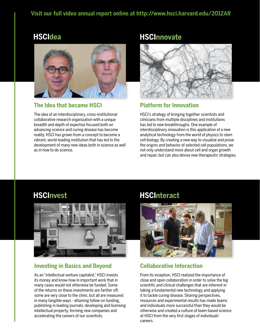## **Visit our full video annual report online at http://www.hsci.harvard.edu/2012AR**

## **HSCIdea**



#### **The Idea that became HSCI**

The idea of an interdisciplinary, cross-institutional collaborative research organization with a unique breadth and depth of expertise focused both on advancing science and curing disease has become reality. HSCI has grown from a concept to become a vibrant, world-leading institution that has led to the development of many new ideas both in science as well as in how to do science.

## **HSCInnovate**



#### **Platform for Innovation**

HSCI's strategy of bringing together scientists and clinicians from multiple disciplines and institutions has led to new breakthroughs. One example of interdisciplinary innovation is this application of a new analytical technology from the world of physics to stem cell biology. By creating a new way to visualize and prove the origins and behavior of selected cell populations, we not only understand more about cell and organ growth and repair, but can also devise new therapeutic strategies.



#### **Investing in Basics and Beyond**

As an "intellectual venture capitalist," HSCI invests its money and know-how in important work that in many cases would not otherwise be funded. Some of the returns on these investments are farther off, some are very close to the clinic, but all are measured in many tangible ways - attaining follow-on funding, publishing in leading journals, developing and licensing intellectual property, forming new companies and accelerating the careers of our scientists.

## **HSCInvest HSCInteract**



## **Collaborative Interaction**

From its inception, HSCI realized the importance of close and open collaboration in order to solve the big scientific and clinical challenges that are inherent in taking a fundamental new technology and applying it to tackle curing disease. Sharing perspectives, resources and experimental results has made teams and individuals more successful than they would be otherwise and created a culture of team-based science at HSCI from the very first stages of individuals' careers.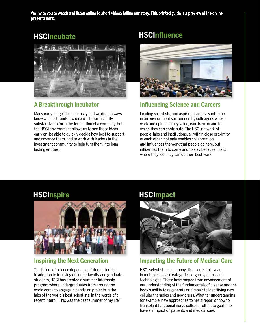We invite you to watch and listen online to short videos telling our story. This printed guide is a preview of the online presentations.



## **A Breakthrough Incubator**

Many early-stage ideas are risky and we don't always know when a brand-new idea will be sufficiently substantive to form the foundation of a company, but the HSCI environment allows us to see those ideas early on, be able to quickly decide how best to support and advance them, and to work with leaders in the investment community to help turn them into longlasting entities.

## **HSCIncubate HSCInfluence**



### **Influencing Science and Careers**

Leading scientists, and aspiring leaders, want to be in an environment surrounded by colleagues whose work and opinions they value, can draw on and to which they can contribute. The HSCI network of people, labs and institutions, all within close proximity of each other, not only enables collaboration and influences the work that people do here, but influences them to come and to stay because this is where they feel they can do their best work.



## **Inspiring the Next Generation**

The future of science depends on future scientists. In addition to focusing on junior faculty and graduate students, HSCI has created a summer internship program where undergraduates from around the world come to engage in hands-on projects in the labs of the world's best scientists. In the words of a recent intern, "This was the best summer of my life."

## **HSCInspire HSCImpact**



#### **Impacting the Future of Medical Care**

HSCI scientists made many discoveries this year in multiple disease categories, organ systems, and technologies. These have ranged from advancement of our understanding of the fundamentals of disease and the body's ability to regenerate and repair to identifying new cellular therapies and new drugs. Whether understanding, for example, new approaches to heart repair or how to transplant functional nerve cells, our ultimate goal is to have an impact on patients and medical care.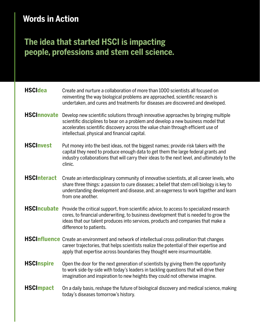# **Words in Action**

# **The idea that started HSCI is impacting people, professions and stem cell science.**

| <b>HSCIdea</b>     | Create and nurture a collaboration of more than 1000 scientists all focused on<br>reinventing the way biological problems are approached, scientific research is<br>undertaken, and cures and treatments for diseases are discovered and developed.                                                           |
|--------------------|---------------------------------------------------------------------------------------------------------------------------------------------------------------------------------------------------------------------------------------------------------------------------------------------------------------|
| <b>HSCInnovate</b> | Develop new scientific solutions through innovative approaches by bringing multiple<br>scientific disciplines to bear on a problem and develop a new business model that<br>accelerates scientific discovery across the value chain through efficient use of<br>intellectual, physical and financial capital. |
| <b>HSCInvest</b>   | Put money into the best ideas, not the biggest names; provide risk takers with the<br>capital they need to produce enough data to get them the large federal grants and<br>industry collaborations that will carry their ideas to the next level, and ultimately to the<br>clinic.                            |
| <b>HSCInteract</b> | Create an interdisciplinary community of innovative scientists, at all career levels, who<br>share three things: a passion to cure diseases; a belief that stem cell biology is key to<br>understanding development and disease, and; an eagerness to work together and learn<br>from one another.            |
| <b>HSCIncubate</b> | Provide the critical support, from scientific advice, to access to specialized research<br>cores, to financial underwriting, to business development that is needed to grow the<br>ideas that our talent produces into services, products and companies that make a<br>difference to patients.                |
|                    | HSCInfluence Create an environment and network of intellectual cross pollination that changes<br>career trajectories, that helps scientists realize the potential of their expertise and<br>apply that expertise across boundaries they thought were insurmountable.                                          |
| <b>HSCInspire</b>  | Open the door for the next generation of scientists by giving them the opportunity<br>to work side-by-side with today's leaders in tackling questions that will drive their<br>imagination and inspiration to new heights they could not otherwise imagine.                                                   |
| <b>HSCImpact</b>   | On a daily basis, reshape the future of biological discovery and medical science, making<br>today's diseases tomorrow's history.                                                                                                                                                                              |